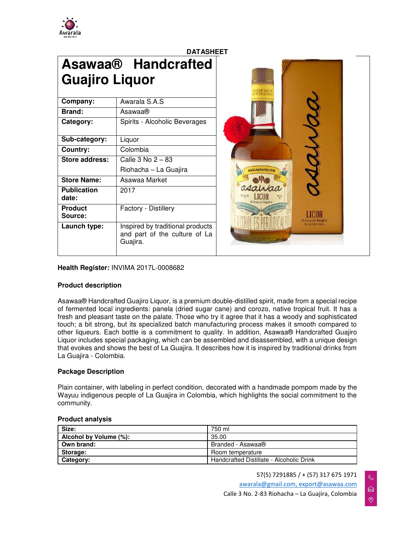

| <b>DATASHEET</b>            |                                                                               |                                            |  |
|-----------------------------|-------------------------------------------------------------------------------|--------------------------------------------|--|
| <b>Guajiro Liquor</b>       | <b>Asawaa® Handcrafted</b>                                                    | <b>三正王时 相称</b>                             |  |
| Company:                    | Awarala S.A.S                                                                 |                                            |  |
| Brand:                      | Asawaa®                                                                       |                                            |  |
| Category:                   | Spirits - Alcoholic Beverages                                                 |                                            |  |
| Sub-category:               | Liquor                                                                        |                                            |  |
| Country:                    | Colombia                                                                      |                                            |  |
| <b>Store address:</b>       | Calle 3 No 2 - 83                                                             |                                            |  |
|                             | Riohacha - La Guajira                                                         | a asolida.com                              |  |
| <b>Store Name:</b>          | Asawaa Market                                                                 |                                            |  |
| <b>Publication</b><br>date: | 2017                                                                          |                                            |  |
| <b>Product</b><br>Source:   | Factory - Distillery                                                          | <b>HIN OF LA SIGN</b><br>Arlessnal tustiro |  |
| Launch type:                | Inspired by traditional products<br>and part of the culture of La<br>Guajira. | IS MEVIL . Toled                           |  |

**Health Register:** INVIMA 2017L-0008682

## **Product description**

Asawaa® Handcrafted Guajiro Liquor, is a premium double-distilled spirit, made from a special recipe of fermented local ingredients: panela (dried sugar cane) and corozo, native tropical fruit. It has a fresh and pleasant taste on the palate. Those who try it agree that it has a woody and sophisticated touch; a bit strong, but its specialized batch manufacturing process makes it smooth compared to other liqueurs. Each bottle is a commitment to quality. In addition, Asawaa® Handcrafted Guajiro Liquor includes special packaging, which can be assembled and disassembled, with a unique design that evokes and shows the best of La Guajira. It describes how it is inspired by traditional drinks from La Guajira - Colombia.

## **Package Description**

Plain container, with labeling in perfect condition, decorated with a handmade pompom made by the Wayuu indigenous people of La Guajira in Colombia, which highlights the social commitment to the community.

| Size:                  | 750 ml                                   |
|------------------------|------------------------------------------|
| Alcohol by Volume (%): | 35.00                                    |
| Own brand:             | Branded - Asawaa <sup>®</sup>            |
| Storage:               | Room temperature                         |
| Category:              | Handcrafted Distillate - Alcoholic Drink |

## **Product analysis**